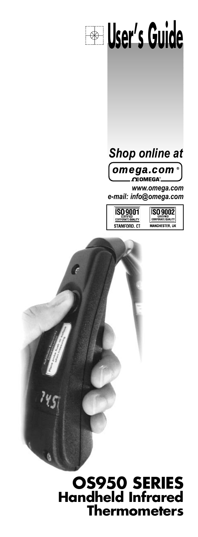



*omega.com***® OEOMEGA**®

*www.omega.com e-mail: info@omega.com*

**ISO 9001** CERTIFIED<br>CORPORATE QUALITY STAMFORD. CT **ISO 9002** \_\_\_\_\_\_\_\_\_\_\_\_\_\_<br>Anchester, Uk

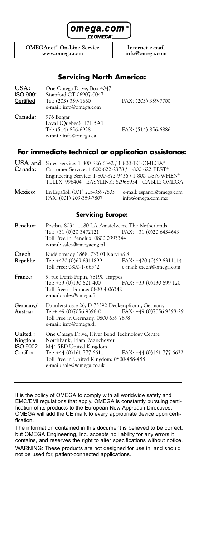

 $\Omega$ **EOMEGA**<sup>2</sup>

**OMEGAnet<sup>®</sup> On-Line Service Internet e-mail<br>www.omega.com info@omega.com www.omega.com info@omega.com**

### **Servicing North America:**

| USA:<br>ISO 9001<br>Certified | One Omega Drive, Box 4047<br>Stamford CT 06907-0047<br>Tel: (203) 359-1660<br>e-mail: info@omega.com | FAX: (203) 359-7700 |
|-------------------------------|------------------------------------------------------------------------------------------------------|---------------------|
| Canada:                       | 976 Bergar<br>Laval (Quebec) H7L 5A1<br>Tel: (514) 856-6928<br>e-mail: info@omega.ca                 | FAX: (514) 856-6886 |

#### **For immediate technical or application assistance:**

| USA and<br>Canada:                                 | Sales Service: 1-800-826-6342 / 1-800-TC-OMEGA®<br>Customer Service: 1-800-622-2378 / 1-800-622-BEST®<br>Engineering Service: 1-800-872-9436 / 1-800-USA-WHEN®<br>TELEX: 996404 EASYLINK: 62968934 CABLE: OMEGA                        |                                                    |
|----------------------------------------------------|----------------------------------------------------------------------------------------------------------------------------------------------------------------------------------------------------------------------------------------|----------------------------------------------------|
| Mexico:                                            | En Español: (001) 203-359-7803<br>FAX: (001) 203-359-7807                                                                                                                                                                              | e-mail: espanol@omega.com<br>info@omega.com.mx     |
|                                                    | <b>Servicing Europe:</b>                                                                                                                                                                                                               |                                                    |
| Benelux:                                           | Postbus 8034, 1180 LA Amstelveen, The Netherlands<br>Tel: +31 (0)20 3472121 FAX: +31 (0)20 6434643<br>Toll Free in Benelux: 0800 0993344<br>e-mail: sales@omegaeng.nl                                                                  |                                                    |
| Czech<br>Republic                                  | Rudé armády 1868, 733 01 Karviná 8<br>Tel: +420 (0)69 6311899<br>Toll Free: 0800-1-66342                                                                                                                                               | FAX: +420 (0)69 6311114<br>e-mail: czech@omega.com |
| France:                                            | 9, rue Denis Papin, 78190 Trappes<br>Tel: +33 (0)130 621 400<br>Toll Free in France: 0800-4-06342<br>e-mail: sales@omega.fr                                                                                                            | FAX: +33 (0)130 699 120                            |
| Germany/<br>Austria:                               | Daimlerstrasse 26, D-75392 Deckenpfronn, Germany<br>Tel: + 49 (0) 7056 9398-0 FAX: +49 (0) 7056 9398-29<br>Toll Free in Germany: 0800 639 7678<br>e-mail: info@omega.dl                                                                |                                                    |
| United:<br>Kingdom<br><b>ISO 9002</b><br>Certified | One Omega Drive, River Bend Technology Centre<br>Northbank, Irlam, Manchester<br>M44 5BD United Kingdom<br>Tel: +44 (0)161 777 6611 FAX: +44 (0)161 777 6622<br>Toll Free in United Kingdom: 0800-488-488<br>e-mail: sales@omega.co.uk |                                                    |

It is the policy of OMEGA to comply with all worldwide safety and EMC/EMI regulations that apply. OMEGA is constantly pursuing certification of its products to the European New Approach Directives. OMEGA will add the CE mark to every appropriate device upon certification.

The information contained in this document is believed to be correct, but OMEGA Engineering, Inc. accepts no liability for any errors it contains, and reserves the right to alter specifications without notice. WARNING: These products are not designed for use in, and should not be used for, patient-connected applications.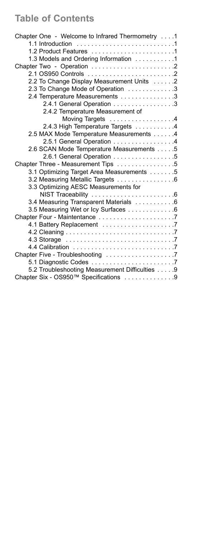# **Table of Contents**

| Chapter One - Welcome to Infrared Thermometry 1 |  |
|-------------------------------------------------|--|
|                                                 |  |
|                                                 |  |
| 1.3 Models and Ordering Information 1           |  |
|                                                 |  |
|                                                 |  |
| 2.2 To Change Display Measurement Units 2       |  |
| 2.3 To Change Mode of Operation 3               |  |
| 2.4 Temperature Measurements 3                  |  |
| 2.4.1 General Operation 3                       |  |
| 2.4.2 Temperature Measurement of                |  |
| Moving Targets 4                                |  |
| 2.4.3 High Temperature Targets 4                |  |
| 2.5 MAX Mode Temperature Measurements 4         |  |
| 2.5.1 General Operation 4                       |  |
| 2.6 SCAN Mode Temperature Measurements 5        |  |
| 2.6.1 General Operation 5                       |  |
| Chapter Three - Measurement Tips 5              |  |
| 3.1 Optimizing Target Area Measurements 5       |  |
| 3.2 Measuring Metallic Targets 6                |  |
| 3.3 Optimizing AESC Measurements for            |  |
|                                                 |  |
| 3.4 Measuring Transparent Materials 6           |  |
| 3.5 Measuring Wet or Icy Surfaces 6             |  |
|                                                 |  |
|                                                 |  |
|                                                 |  |
|                                                 |  |
|                                                 |  |
| Chapter Five - Troubleshooting 7                |  |
|                                                 |  |
| 5.2 Troubleshooting Measurement Difficulties 9  |  |
| Chapter Six - OS950™ Specifications 9           |  |
|                                                 |  |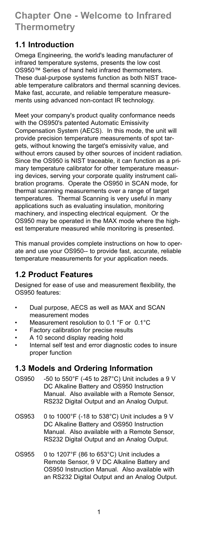# **Chapter One - Welcome to Infrared Thermometry**

## **1.1 Introduction**

Omega Engineering, the world's leading manufacturer of infrared temperature systems, presents the low cost OS950™ Series of hand held infrared thermometers. These dual-purpose systems function as both NIST traceable temperature calibrators and thermal scanning devices. Make fast, accurate, and reliable temperature measurements using advanced non-contact IR technology.

Meet your company's product quality conformance needs with the OS950's patented Automatic Emissivity Compensation System (AECS). In this mode, the unit will provide precision temperature measurements of spot targets, without knowing the target's emissivity value, and without errors caused by other sources of incident radiation. Since the OS950 is NIST traceable, it can function as a primary temperature calibrator for other temperature measuring devices, serving your corporate quality instrument calibration programs. Operate the OS950 in SCAN mode, for thermal scanning measurements over a range of target temperatures. Thermal Scanning is very useful in many applications such as evaluating insulation, monitoring machinery, and inspecting electrical equipment. Or the OS950 may be operated in the MAX mode where the highest temperature measured while monitoring is presented.

This manual provides complete instructions on how to operate and use your OS950-- to provide fast, accurate, reliable temperature measurements for your application needs.

## **1.2 Product Features**

Designed for ease of use and measurement flexibility, the OS950 features:

- Dual purpose, AECS as well as MAX and SCAN measurement modes
- Measurement resolution to 0.1 °F or 0.1 °C
- Factory calibration for precise results
- A 10 second display reading hold
- Internal self test and error diagnostic codes to insure proper function

## **1.3 Models and Ordering Information**

- OS950 -50 to 550°F (-45 to 287°C) Unit includes a 9 V DC Alkaline Battery and OS950 Instruction Manual. Also available with a Remote Sensor, RS232 Digital Output and an Analog Output.
- OS953 0 to 1000°F (-18 to 538°C) Unit includes a 9 V DC Alkaline Battery and OS950 Instruction Manual. Also available with a Remote Sensor, RS232 Digital Output and an Analog Output.
- OS955 0 to 1207°F (86 to 653°C) Unit includes a Remote Sensor, 9 V DC Alkaline Battery and OS950 Instruction Manual. Also available with an RS232 Digital Output and an Analog Output.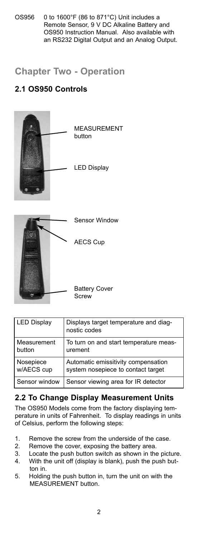OS956 0 to 1600°F (86 to 871°C) Unit includes a Remote Sensor, 9 V DC Alkaline Battery and OS950 Instruction Manual. Also available with an RS232 Digital Output and an Analog Output.

## **Chapter Two - Operation**

## **2.1 OS950 Controls**



| <b>LED Display</b> | Displays target temperature and diag-<br>nostic codes |
|--------------------|-------------------------------------------------------|
| Measurement        | To turn on and start temperature meas-                |
| button             | urement                                               |
| Nosepiece          | Automatic emissitivity compensation                   |
| w/AECS cup         | system nosepiece to contact target                    |
| Sensor window      | Sensor viewing area for IR detector                   |

## **2.2 To Change Display Measurement Units**

The OS950 Models come from the factory displaying temperature in units of Fahrenheit. To display readings in units of Celsius, perform the following steps:

- 1. Remove the screw from the underside of the case.
- 2. Remove the cover, exposing the battery area.
- 3. Locate the push button switch as shown in the picture.
- 4. With the unit off (display is blank), push the push button in.
- 5. Holding the push button in, turn the unit on with the MEASUREMENT button.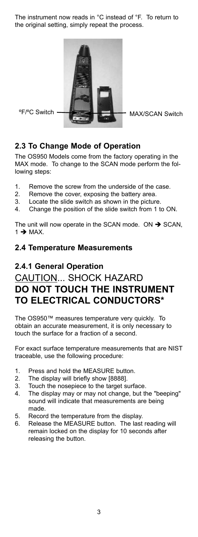The instrument now reads in °C instead of °F. To return to the original setting, simply repeat the process.



## **2.3 To Change Mode of Operation**

The OS950 Models come from the factory operating in the MAX mode. To change to the SCAN mode perform the following steps:

- 1. Remove the screw from the underside of the case.
- 2. Remove the cover, exposing the battery area.
- 3. Locate the slide switch as shown in the picture.
- 4. Change the position of the slide switch from 1 to ON.

The unit will now operate in the SCAN mode. ON  $\rightarrow$  SCAN,  $1 \rightarrow \text{MAX}$ .

### **2.4 Temperature Measurements**

## **2.4.1 General Operation**

# CAUTION... SHOCK HAZARD **DO NOT TOUCH THE INSTRUMENT TO ELECTRICAL CONDUCTORS\***

The OS950™ measures temperature very quickly. To obtain an accurate measurement, it is only necessary to touch the surface for a fraction of a second.

For exact surface temperature measurements that are NIST traceable, use the following procedure:

- 1. Press and hold the MEASURE button.
- 2. The display will briefly show [8888].
- 3. Touch the nosepiece to the target surface.
- 4. The display may or may not change, but the "beeping" sound will indicate that measurements are being made.
- 5. Record the temperature from the display.
- 6. Release the MEASURE button. The last reading will remain locked on the display for 10 seconds after releasing the button.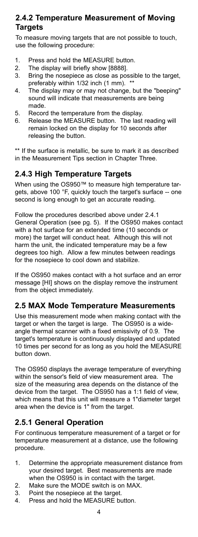## **2.4.2 Temperature Measurement of Moving Targets**

To measure moving targets that are not possible to touch, use the following procedure:

- 1. Press and hold the MEASURE button.
- 2. The display will briefly show [8888].
- 3. Bring the nosepiece as close as possible to the target, preferably within 1/32 inch (1 mm). \*\*
- 4. The display may or may not change, but the "beeping" sound will indicate that measurements are being made.
- 5. Record the temperature from the display.
- 6. Release the MEASURE button. The last reading will remain locked on the display for 10 seconds after releasing the button.

\*\* If the surface is metallic, be sure to mark it as described in the Measurement Tips section in Chapter Three.

## **2.4.3 High Temperature Targets**

When using the OS950™ to measure high temperature targets, above 100 °F, quickly touch the target's surface -- one second is long enough to get an accurate reading.

Follow the procedures described above under 2.4.1 General Operation (see pg. 5). If the OS950 makes contact with a hot surface for an extended time (10 seconds or more) the target will conduct heat. Although this will not harm the unit, the indicated temperature may be a few degrees too high. Allow a few minutes between readings for the nosepiece to cool down and stabilize.

If the OS950 makes contact with a hot surface and an error message [HI] shows on the display remove the instrument from the object immediately.

## **2.5 MAX Mode Temperature Measurements**

Use this measurement mode when making contact with the target or when the target is large. The OS950 is a wideangle thermal scanner with a fixed emissivity of 0.9. The target's temperature is continuously displayed and updated 10 times per second for as long as you hold the MEASURE button down.

The OS950 displays the average temperature of everything within the sensor's field of view measurement area. The size of the measuring area depends on the distance of the device from the target. The OS950 has a 1:1 field of view, which means that this unit will measure a 1"diameter target area when the device is 1" from the target.

## **2.5.1 General Operation**

For continuous temperature measurement of a target or for temperature measurement at a distance, use the following procedure.

- 1. Determine the appropriate measurement distance from your desired target. Best measurements are made when the OS950 is in contact with the target.
- 2. Make sure the MODE switch is on MAX.
- 3. Point the nosepiece at the target.
- 4. Press and hold the MEASURE button.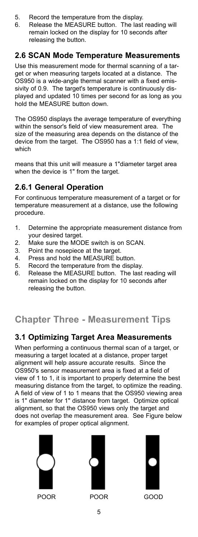- 5. Record the temperature from the display.
- 6. Release the MEASURE button. The last reading will remain locked on the display for 10 seconds after releasing the button.

## **2.6 SCAN Mode Temperature Measurements**

Use this measurement mode for thermal scanning of a target or when measuring targets located at a distance. The OS950 is a wide-angle thermal scanner with a fixed emissivity of 0.9. The target's temperature is continuously displayed and updated 10 times per second for as long as you hold the MEASURE button down.

The OS950 displays the average temperature of everything within the sensor's field of view measurement area. The size of the measuring area depends on the distance of the device from the target. The OS950 has a 1:1 field of view, which

means that this unit will measure a 1"diameter target area when the device is 1" from the target.

## **2.6.1 General Operation**

For continuous temperature measurement of a target or for temperature measurement at a distance, use the following procedure.

- 1. Determine the appropriate measurement distance from your desired target.
- 2. Make sure the MODE switch is on SCAN.
- 3. Point the nosepiece at the target.
- 4. Press and hold the MEASURE button.<br>5. Record the temperature from the disple
- Record the temperature from the display.
- 6. Release the MEASURE button. The last reading will remain locked on the display for 10 seconds after releasing the button.

# **Chapter Three - Measurement Tips**

## **3.1 Optimizing Target Area Measurements**

When performing a continuous thermal scan of a target, or measuring a target located at a distance, proper target alignment will help assure accurate results. Since the OS950's sensor measurement area is fixed at a field of view of 1 to 1, it is important to properly determine the best measuring distance from the target, to optimize the reading. A field of view of 1 to 1 means that the OS950 viewing area is 1" diameter for 1" distance from target. Optimize optical alignment, so that the OS950 views only the target and does not overlap the measurement area. See Figure below for examples of proper optical alignment.





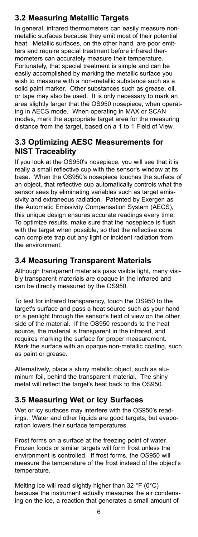## **3.2 Measuring Metallic Targets**

In general, infrared thermometers can easily measure nonmetallic surfaces because they emit most of their potential heat. Metallic surfaces, on the other hand, are poor emitters and require special treatment before infrared thermometers can accurately measure their temperature. Fortunately, that special treatment is simple and can be easily accomplished by marking the metallic surface you wish to measure with a non-metallic substance such as a solid paint marker. Other substances such as grease, oil, or tape may also be used. It is only necessary to mark an area slightly larger that the OS950 nosepiece, when operating in AECS mode. When operating in MAX or SCAN modes, mark the appropriate target area for the measuring distance from the target, based on a 1 to 1 Field of View.

## **3.3 Optimizing AESC Measurements for NIST Traceablity**

If you look at the OS950's nosepiece, you will see that it is really a small reflective cup with the sensor's window at its base. When the OS950's nosepiece touches the surface of an object, that reflective cup automatically controls what the sensor sees by eliminating variables such as target emissivity and extraneous radiation. Patented by Exergen as the Automatic Emissivity Compensation System (AECS), this unique design ensures accurate readings every time. To optimize results, make sure that the nosepiece is flush with the target when possible, so that the reflective cone can complete trap out any light or incident radiation from the environment.

## **3.4 Measuring Transparent Materials**

Although transparent materials pass visible light, many visibly transparent materials are opaque in the infrared and can be directly measured by the OS950.

To test for infrared transparency, touch the OS950 to the target's surface and pass a heat source such as your hand or a penlight through the sensor's field of view on the other side of the material. If the OS950 responds to the heat source, the material is transparent in the infrared, and requires marking the surface for proper measurement. Mark the surface with an opaque non-metallic coating, such as paint or grease.

Alternatively, place a shiny metallic object, such as aluminum foil, behind the transparent material. The shiny metal will reflect the target's heat back to the OS950.

## **3.5 Measuring Wet or Icy Surfaces**

Wet or icy surfaces may interfere with the OS950's readings. Water and other liquids are good targets, but evaporation lowers their surface temperatures.

Frost forms on a surface at the freezing point of water. Frozen foods or similar targets will form frost unless the environment is controlled. If frost forms, the OS950 will measure the temperature of the frost instead of the object's temperature.

Melting ice will read slightly higher than 32 °F (0°C) because the instrument actually measures the air condensing on the ice, a reaction that generates a small amount of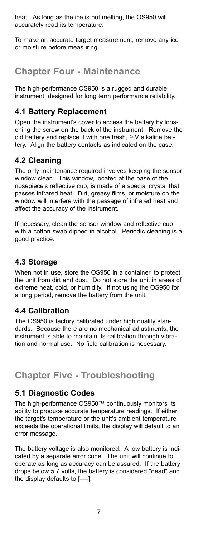heat. As long as the ice is not melting, the OS950 will accurately read its temperature.

To make an accurate target measurement, remove any ice or moisture before measuring.

## **Chapter Four - Maintenance**

The high-performance OS950 is a rugged and durable instrument, designed for long term performance reliability.

## **4.1 Battery Replacement**

Open the instrument's cover to access the battery by loosening the screw on the back of the instrument. Remove the old battery and replace it with one fresh, 9 V alkaline battery. Align the battery contacts as indicated on the case.

## **4.2 Cleaning**

The only maintenance required involves keeping the sensor window clean. This window, located at the base of the nosepiece's reflective cup, is made of a special crystal that passes infrared heat. Dirt, greasy films, or moisture on the window will interfere with the passage of infrared heat and affect the accuracy of the instrument.

If necessary, clean the sensor window and reflective cup with a cotton swab dipped in alcohol. Periodic cleaning is a good practice.

## **4.3 Storage**

When not in use, store the OS950 in a container, to protect the unit from dirt and dust. Do not store the unit in areas of extreme heat, cold, or humidity. If not using the OS950 for a long period, remove the battery from the unit.

## **4.4 Calibration**

The OS950 is factory calibrated under high quality standards. Because there are no mechanical adjustments, the instrument is able to maintain its calibration through vibration and normal use. No field calibration is necessary.

## **Chapter Five - Troubleshooting**

## **5.1 Diagnostic Codes**

The high-performance OS950™ continuously monitors its ability to produce accurate temperature readings. If either the target's temperature or the unit's ambient temperature exceeds the operational limits, the display will default to an error message.

The battery voltage is also monitored. A low battery is indicated by a separate error code. The unit will continue to operate as long as accuracy can be assured. If the battery drops below 5.7 volts, the battery is considered "dead" and the display defaults to [----].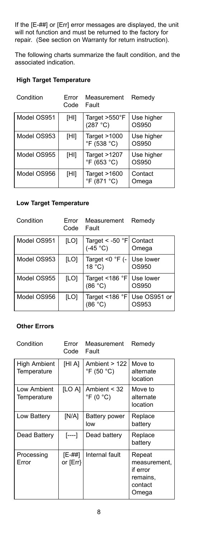If the [E-##] or [Err] error messages are displayed, the unit will not function and must be returned to the factory for repair. (See section on Warranty for return instruction).

The following charts summarize the fault condition, and the associated indication.

#### **High Target Temperature**

| Condition   | Frror<br>Code | Measurement<br>Fault              | Remedy              |
|-------------|---------------|-----------------------------------|---------------------|
| Model OS951 | [HI]          | Target $>550^\circ$ F<br>(287 °C) | Use higher<br>OS950 |
| Model OS953 | [HI]          | Target $>1000$<br>°F (538 °C)     | Use higher<br>OS950 |
| Model OS955 | [HI]          | Target $>1207$<br>°F (653 °C)     | Use higher<br>OS950 |
| Model OS956 | [HI]          | Target $>1600$<br>°F (871 °C)     | Contact<br>Omega    |

#### **Low Target Temperature**

| Condition   | Error<br>Code | Measurement<br>Fault                                        | Remedy                |
|-------------|---------------|-------------------------------------------------------------|-----------------------|
| Model OS951 | [LO]          | Target < -50 $\degree$ F Contact<br>(-45 $\degree$ C) Omega |                       |
| Model OS953 | [LO]          | Target <0 °F (-<br>18 °C)                                   | Use lower<br>OS950    |
| Model OS955 | [LO]          | Target <186 °F Use lower<br>(86 °C) 0S950                   |                       |
| Model OS956 | [LO]          | Target <186 °F<br>(86 °C)                                   | Use OS951 or<br>OS953 |

#### **Other Errors**

| Condition                   | Error<br>Code      | Measurement<br>Fault                            | Remedy                                                             |
|-----------------------------|--------------------|-------------------------------------------------|--------------------------------------------------------------------|
| High Ambient<br>Temperature | [HI A]             | Ambient $> 122$<br>$\degree$ F (50 $\degree$ C) | Move to<br>alternate<br>location                                   |
| Low Ambient<br>Temperature  | <b>ILO AI</b>      | Ambient $<$ 32<br>$\degree$ F (0 $\degree$ C)   | Move to<br>alternate<br>location                                   |
| Low Battery                 | [N/A]              | Battery power<br>low                            | Replace<br>battery                                                 |
| Dead Battery                | [----]             | Dead battery                                    | Replace<br>battery                                                 |
| Processing<br>Error         | [E-##]<br>or [Err} | Internal fault                                  | Repeat<br>measurement.<br>if error<br>remains,<br>contact<br>Omega |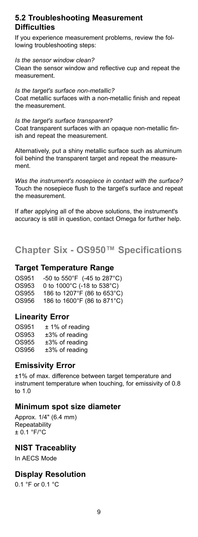## **5.2 Troubleshooting Measurement Difficulties**

If you experience measurement problems, review the following troubleshooting steps:

*Is the sensor window clean?*

Clean the sensor window and reflective cup and repeat the measurement.

*Is the target's surface non-metallic?* Coat metallic surfaces with a non-metallic finish and repeat the measurement.

*Is the target's surface transparent?* Coat transparent surfaces with an opaque non-metallic finish and repeat the measurement.

Alternatively, put a shiny metallic surface such as aluminum foil behind the transparent target and repeat the measurement.

*Was the instrument's nosepiece in contact with the surface?* Touch the nosepiece flush to the target's surface and repeat the measurement.

If after applying all of the above solutions, the instrument's accuracy is still in question, contact Omega for further help.

**Chapter Six - OS950™ Specifications**

#### **Target Temperature Range**

OS951 -50 to 550°F (-45 to 287°C) OS953 0 to 1000°C (-18 to 538°C)  $OS955 - 186$  to 1207°F (86 to 653°C) OS956 186 to 1600°F (86 to 871°C)

### **Linearity Error**

| OS951 | $± 1\%$ of reading |
|-------|--------------------|
| OS953 | $±3\%$ of reading  |
| OS955 | $±3\%$ of reading  |
| OS956 | $±3\%$ of reading  |

### **Emissivity Error**

±1% of max. difference between target temperature and instrument temperature when touching, for emissivity of 0.8 to 1.0

### **Minimum spot size diameter**

Approx. 1/4" (6.4 mm) **Repeatability** ± 0.1 °F/°C

### **NIST Traceablity**

In AECS Mode

### **Display Resolution**

0.1 °F or 0.1 °C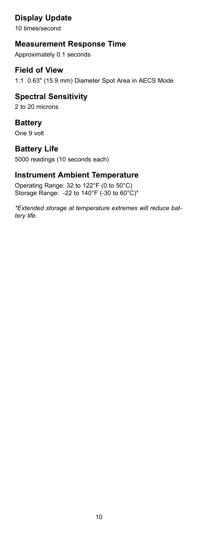**Display Update**

10 times/second

## **Measurement Response Time**

Approximately 0.1 seconds

## **Field of View**

1:1 0.63" (15.9 mm) Diameter Spot Area in AECS Mode

### **Spectral Sensitivity** 2 to 20 microns

**Battery**  One 9 volt

## **Battery Life**

5000 readings (10 seconds each)

## **Instrument Ambient Temperature**

Operating Range: 32 to 122°F (0 to 50°C) Storage Range: -22 to 140°F (-30 to 60°C)\*

*\*Extended storage at temperature extremes will reduce battery life.*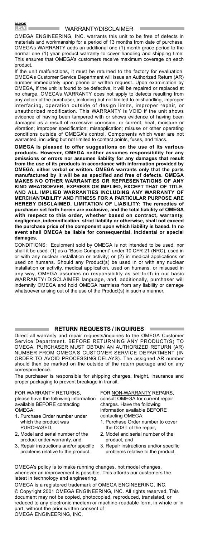÷

#### WARRANTY/DISCLAIMER

OMEGA ENGINEERING, INC. warrants this unit to be free of defects in materials and workmanship for a period of 13 months from date of purchase. OMEGA's WARRANTY adds an additional one (1) month grace period to the normal one (1) year product warranty to cover handling and shipping time. This ensures that OMEGA's customers receive maximum coverage on each product.

If the unit malfunctions, it must be returned to the factory for evaluation. OMEGA's Customer Service Department will issue an Authorized Return (AR) number immediately upon phone or written request. Upon examination by OMEGA, if the unit is found to be defective, it will be repaired or replaced at no charge. OMEGA's WARRANTY does not apply to defects resulting from any action of the purchaser, including but not limited to mishandling, improper interfacing, operation outside of design limits, improper repair, or unauthorized modification. This WARRANTY is VOID if the unit shows evidence of having been tampered with or shows evidence of having been damaged as a result of excessive corrosion; or current, heat, moisture or vibration; improper specification; misapplication; misuse or other operating conditions outside of OMEGA's control. Components which wear are not warranted, including but not limited to contact points, fuses, and triacs.

**OMEGA is pleased to offer suggestions on the use of its various products. However, OMEGA neither assumes responsibility for any omissions or errors nor assumes liability for any damages that result from the use of its products in accordance with information provided by OMEGA, either verbal or written. OMEGA warrants only that the parts manufactured by it will be as specified and free of defects. OMEGA MAKES NO OTHER WARRANTIES OR REPRESENTATIONS OF ANY KIND WHATSOEVER, EXPRESS OR IMPLIED, EXCEPT THAT OF TITLE, AND ALL IMPLIED WARRANTIES INCLUDING ANY WARRANTY OF MERCHANTABILITY AND FITNESS FOR A PARTICULAR PURPOSE ARE HEREBY DISCLAIMED. LIMITATION OF LIABILITY: The remedies of purchaser set forth herein are exclusive, and the total liability of OMEGA with respect to this order, whether based on contract, warranty, negligence, indemnification, strict liability or otherwise, shall not exceed the purchase price of the component upon which liability is based. In no event shall OMEGA be liable for consequential, incidental or special damages.**

CONDITIONS: Equipment sold by OMEGA is not intended to be used, nor shall it be used: (1) as a "Basic Component" under 10 CFR 21 (NRC), used in or with any nuclear installation or activity; or (2) in medical applications or used on humans. Should any Product(s) be used in or with any nuclear installation or activity, medical application, used on humans, or misused in any way, OMEGA assumes no responsibility as set forth in our basic WARRANTY / DISCLAIMER language, and, additionally, purchaser will indemnify OMEGA and hold OMEGA harmless from any liability or damage whatsoever arising out of the use of the Product(s) in such a manner.

#### **RETURN REQUESTS / INQUIRIES**

Direct all warranty and repair requests/inquiries to the OMEGA Customer Service Department. BEFORE RETURNING ANY PRODUCT(S) TO OMEGA, PURCHASER MUST OBTAIN AN AUTHORIZED RETURN (AR) NUMBER FROM OMEGA'S CUSTOMER SERVICE DEPARTMENT (IN ORDER TO AVOID PROCESSING DELAYS). The assigned AR number should then be marked on the outside of the return package and on any correspondence.

The purchaser is responsible for shipping charges, freight, insurance and proper packaging to prevent breakage in transit.

| FOR WARRANTY RETURNS,                 | FOR NON-WARRANTY REPAIRS,         |
|---------------------------------------|-----------------------------------|
| please have the following information | consult OMEGA for current repair  |
| available BEFORE contacting           | charges. Have the following       |
| OMEGA:                                | information available BEFORE      |
| 1. Purchase Order number under        | contacting OMEGA:                 |
| which the product was                 | 1. Purchase Order number to cover |
| PURCHASED.                            | the COST of the repair,           |
| 2. Model and serial number of the     | 2. Model and serial number of the |
| product under warranty, and           | product, and                      |
|                                       |                                   |

- 3. Repair instructions and/or specific problems relative to the product. 3. Repair instructions and/or specific problems relative to the product.
- 

**College** 

OMEGA's policy is to make running changes, not model changes, whenever an improvement is possible. This affords our customers the latest in technology and engineering.

OMEGA is a registered trademark of OMEGA ENGINEERING, INC. © Copyright 2001 OMEGA ENGINEERING, INC. All rights reserved. This document may not be copied, photocopied, reproduced, translated, or reduced to any electronic medium or machine-readable form, in whole or in part, without the prior written consent of OMEGA ENGINEERING, INC.